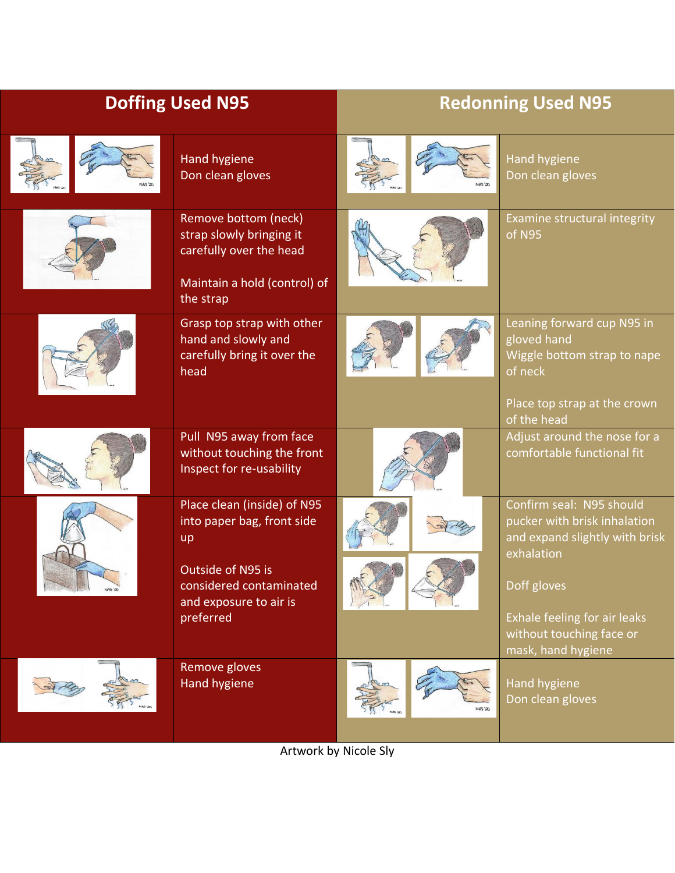| <b>Doffing Used N95</b> |                                                                                                                                                        | <b>Redonning Used N95</b> |                                                                                                                                                                                                           |
|-------------------------|--------------------------------------------------------------------------------------------------------------------------------------------------------|---------------------------|-----------------------------------------------------------------------------------------------------------------------------------------------------------------------------------------------------------|
|                         | Hand hygiene<br>Don clean gloves                                                                                                                       |                           | Hand hygiene<br>Don clean gloves                                                                                                                                                                          |
|                         | Remove bottom (neck)<br>strap slowly bringing it<br>carefully over the head<br>Maintain a hold (control) of<br>the strap                               |                           | Examine structural integrity<br>of N95                                                                                                                                                                    |
|                         | Grasp top strap with other<br>hand and slowly and<br>carefully bring it over the<br>head                                                               |                           | Leaning forward cup N95 in<br>gloved hand<br>Wiggle bottom strap to nape<br>of neck<br>Place top strap at the crown<br>of the head                                                                        |
|                         | Pull N95 away from face<br>without touching the front<br>Inspect for re-usability                                                                      |                           | Adjust around the nose for a<br>comfortable functional fit                                                                                                                                                |
|                         | Place clean (inside) of N95<br>into paper bag, front side<br>up<br>Outside of N95 is<br>considered contaminated<br>and exposure to air is<br>preferred |                           | Confirm seal: N95 should<br>pucker with brisk inhalation<br>and expand slightly with brisk<br>exhalation<br>Doff gloves<br>Exhale feeling for air leaks<br>without touching face or<br>mask, hand hygiene |
|                         | Remove gloves<br><b>Hand hygiene</b>                                                                                                                   |                           | Hand hygiene<br>Don clean gloves                                                                                                                                                                          |

Artwork by Nicole Sly